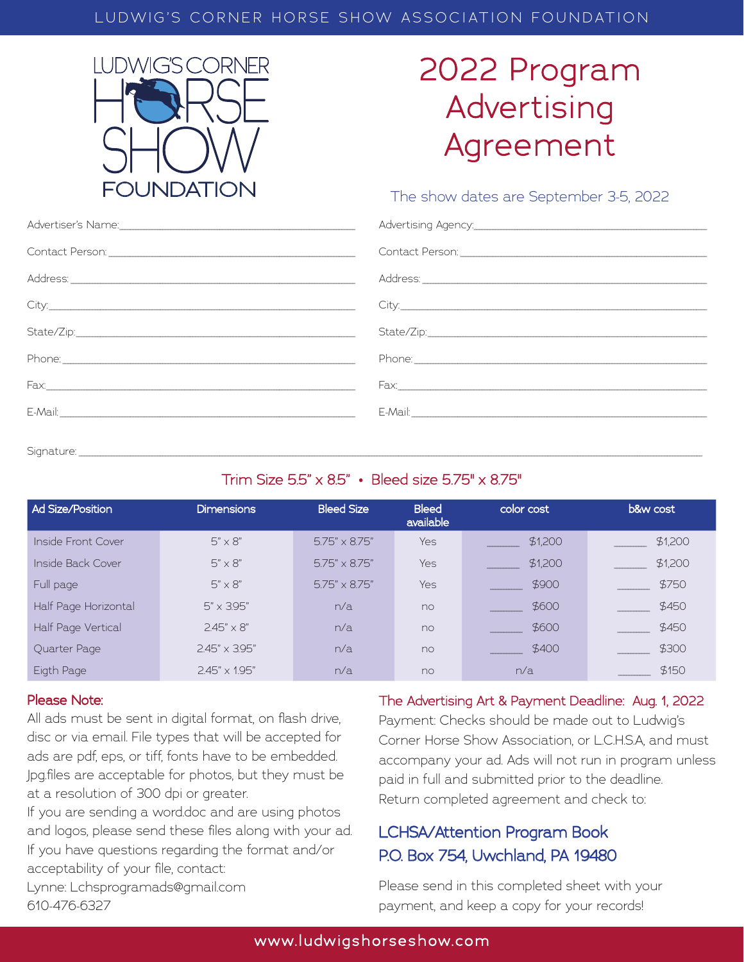#### LUDWIG'S CORNER HORSE SHOW ASSOCIATION FOUNDATION



## 2022 Program Advertising Agreement

#### The show dates are September 3-5, 2022

| Advertiser's Name: 1988 - 1988 - 1988 - 1988 - 1988 - 1988 - 1988 - 1988 - 1988 - 1988 - 1988 - 1988 - 1988 - 1 |       |
|-----------------------------------------------------------------------------------------------------------------|-------|
|                                                                                                                 |       |
|                                                                                                                 |       |
|                                                                                                                 | City. |
|                                                                                                                 |       |
|                                                                                                                 |       |
|                                                                                                                 |       |
|                                                                                                                 |       |
|                                                                                                                 |       |

Signature: \_\_\_\_\_\_\_\_\_\_\_\_\_\_\_\_\_\_\_\_\_\_\_\_\_\_\_\_\_\_\_\_\_\_\_\_\_\_\_\_\_\_\_\_\_\_\_\_\_\_\_\_\_\_\_\_\_\_\_\_\_\_\_\_\_\_\_\_\_\_\_\_\_\_\_\_\_\_\_\_\_\_\_\_\_\_\_\_\_\_\_\_\_\_\_\_\_\_\_\_\_\_\_\_\_\_\_\_\_\_\_\_\_\_\_\_\_\_\_\_\_\_\_\_\_\_\_\_\_\_\_\_\_\_\_\_\_\_\_\_\_\_\_\_\_\_\_\_\_\_\_\_\_\_\_\_\_\_\_\_\_\_\_\_\_\_\_\_\_\_\_\_\_\_\_\_\_\_\_\_\_\_\_\_\_\_\_\_\_\_\_\_\_\_\_\_\_\_\_\_\_\_\_\_\_\_\_\_\_\_\_\_\_\_\_\_\_\_\_\_\_\_\_\_\_\_\_\_\_\_

#### Trim Size 5.5" x 8.5" • Bleed size 5.75" x 8.75"

| <b>Ad Size/Position</b> | <b>Dimensions</b>      | <b>Bleed Size</b>      | <b>Bleed</b><br>available | color cost | <b>b&amp;w</b> cost |
|-------------------------|------------------------|------------------------|---------------------------|------------|---------------------|
| Inside Front Cover      | $5" \times 8"$         | $5.75'' \times 8.75''$ | <b>Yes</b>                | \$1,200    | \$1,200             |
| Inside Back Cover       | $5" \times 8"$         | $5.75'' \times 8.75''$ | <b>Yes</b>                | \$1,200    | \$1,200             |
| Full page               | $5" \times 8"$         | $5.75'' \times 8.75''$ | <b>Yes</b>                | \$900      | \$750               |
| Half Page Horizontal    | $5" \times 395"$       | n/a                    | no                        | \$600      | \$450               |
| Half Page Vertical      | $245" \times 8"$       | n/a                    | no                        | \$600      | \$450               |
| Quarter Page            | $2.45" \times 3.95"$   | n/a                    | no                        | \$400      | \$300               |
| Eigth Page              | $2.45'' \times 1.95''$ | n/a                    | no                        | n/a        | \$150               |

#### Please Note:

All ads must be sent in digital format, on flash drive, disc or via email. File types that will be accepted for ads are pdf, eps, or tiff, fonts have to be embedded. Jpg.files are acceptable for photos, but they must be at a resolution of 300 dpi or greater.

If you are sending a word.doc and are using photos and logos, please send these files along with your ad. If you have questions regarding the format and/or acceptability of your file, contact:

Lynne: Lchsprogramads@gmail.com 610-476-6327

#### The Advertising Art & Payment Deadline: Aug. 1, 2022

Payment: Checks should be made out to Ludwig's Corner Horse Show Association, or L.C.H.S.A, and must accompany your ad. Ads will not run in program unless paid in full and submitted prior to the deadline. Return completed agreement and check to:

### LCHSA/Attention Program Book P.O. Box 754, Uwchland, PA 19480

Please send in this completed sheet with your payment, and keep a copy for your records!